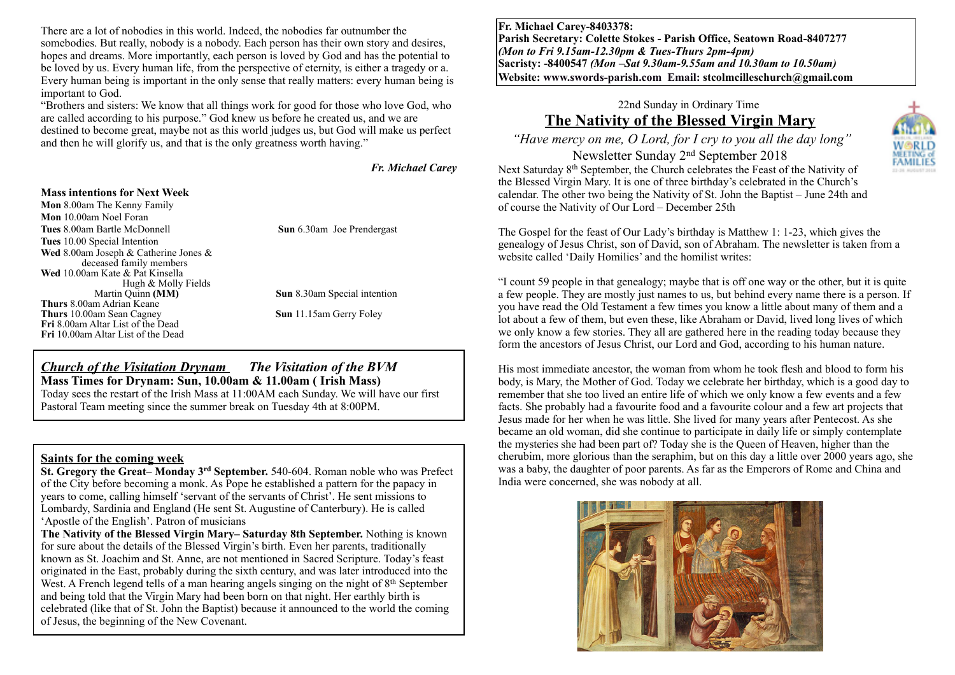There are a lot of nobodies in this world. Indeed, the nobodies far outnumber the somebodies. But really, nobody is a nobody. Each person has their own story and desires, hopes and dreams. More importantly, each person is loved by God and has the potential to be loved by us. Every human life, from the perspective of eternity, is either a tragedy or a. Every human being is important in the only sense that really matters: every human being is important to God.

"Brothers and sisters: We know that all things work for good for those who love God, who are called according to his purpose." God knew us before he created us, and we are destined to become great, maybe not as this world judges us, but God will make us perfect and then he will glorify us, and that is the only greatness worth having."

*Fr. Michael Carey* 

#### **Mass intentions for Next Week**

**Mon** 8.00am The Kenny Family **Mon** 10.00am Noel Foran **Tues** 8.00am Bartle McDonnell **Sun** 6.30am Joe Prendergast **Tues** 10.00 Special Intention **Wed** 8.00am Joseph & Catherine Jones & deceased family members **Wed** 10.00am Kate & Pat Kinsella Hugh & Molly Fields<br>Martin Quinn (MM) **Thurs** 8.00am Adrian Keane **Thurs** 10.00am Sean Cagney **Sun** 11.15am Gerry Foley **Fri** 8.00am Altar List of the Dead **Fri** 10.00am Altar List of the Dead

**Sun** 8.30am Special intention

### *Church of the Visitation Drynam**The Visitation of the BVM* **Mass Times for Drynam: Sun, 10.00am & 11.00am ( Irish Mass)**

Today sees the restart of the Irish Mass at 11:00AM each Sunday. We will have our first Pastoral Team meeting since the summer break on Tuesday 4th at 8:00PM.

#### **Saints for the coming week**

**St. Gregory the Great– Monday 3<sup>rd</sup> September.** 540-604. Roman noble who was Prefect of the City before becoming a monk. As Pope he established a pattern for the papacy in years to come, calling himself 'servant of the servants of Christ'. He sent missions to Lombardy, Sardinia and England (He sent St. Augustine of Canterbury). He is called 'Apostle of the English'. Patron of musicians

**The Nativity of the Blessed Virgin Mary– Saturday 8th September.** Nothing is known for sure about the details of the Blessed Virgin's birth. Even her parents, traditionally known as St. Joachim and St. Anne, are not mentioned in Sacred Scripture. Today's feast originated in the East, probably during the sixth century, and was later introduced into the West. A French legend tells of a man hearing angels singing on the night of  $8<sup>th</sup>$  September and being told that the Virgin Mary had been born on that night. Her earthly birth is celebrated (like that of St. John the Baptist) because it announced to the world the coming of Jesus, the beginning of the New Covenant.

**Fr. Michael Carey-8403378: Parish Secretary: Colette Stokes - Parish Office, Seatown Road-8407277**  *(Mon to Fri 9.15am-12.30pm & Tues-Thurs 2pm-4pm)*  **Sacristy: -8400547** *(Mon –Sat 9.30am-9.55am and 10.30am to 10.50am)* **Website: [www.swords-parish.com Email:](http://www.swords-parish.com%20%20email) stcolmcilleschurch@gmail.com**

# 22nd Sunday in Ordinary Time **The Nativity of the Blessed Virgin Mary**

 *"Have mercy on me, O Lord, for I cry to you all the day long"*  Newsletter Sunday 2nd September 2018 Next Saturday 8th September, the Church celebrates the Feast of the Nativity of the Blessed Virgin Mary. It is one of three birthday's celebrated in the Church's calendar. The other two being the Nativity of St. John the Baptist – June 24th and

of course the Nativity of Our Lord – December 25th



The Gospel for the feast of Our Lady's birthday is Matthew 1: 1-23, which gives the genealogy of Jesus Christ, son of David, son of Abraham. The newsletter is taken from a website called 'Daily Homilies' and the homilist writes:

"I count 59 people in that genealogy; maybe that is off one way or the other, but it is quite a few people. They are mostly just names to us, but behind every name there is a person. If you have read the Old Testament a few times you know a little about many of them and a lot about a few of them, but even these, like Abraham or David, lived long lives of which we only know a few stories. They all are gathered here in the reading today because they form the ancestors of Jesus Christ, our Lord and God, according to his human nature.

His most immediate ancestor, the woman from whom he took flesh and blood to form his body, is Mary, the Mother of God. Today we celebrate her birthday, which is a good day to remember that she too lived an entire life of which we only know a few events and a few facts. She probably had a favourite food and a favourite colour and a few art projects that Jesus made for her when he was little. She lived for many years after Pentecost. As she became an old woman, did she continue to participate in daily life or simply contemplate the mysteries she had been part of? Today she is the Queen of Heaven, higher than the cherubim, more glorious than the seraphim, but on this day a little over 2000 years ago, she was a baby, the daughter of poor parents. As far as the Emperors of Rome and China and India were concerned, she was nobody at all.